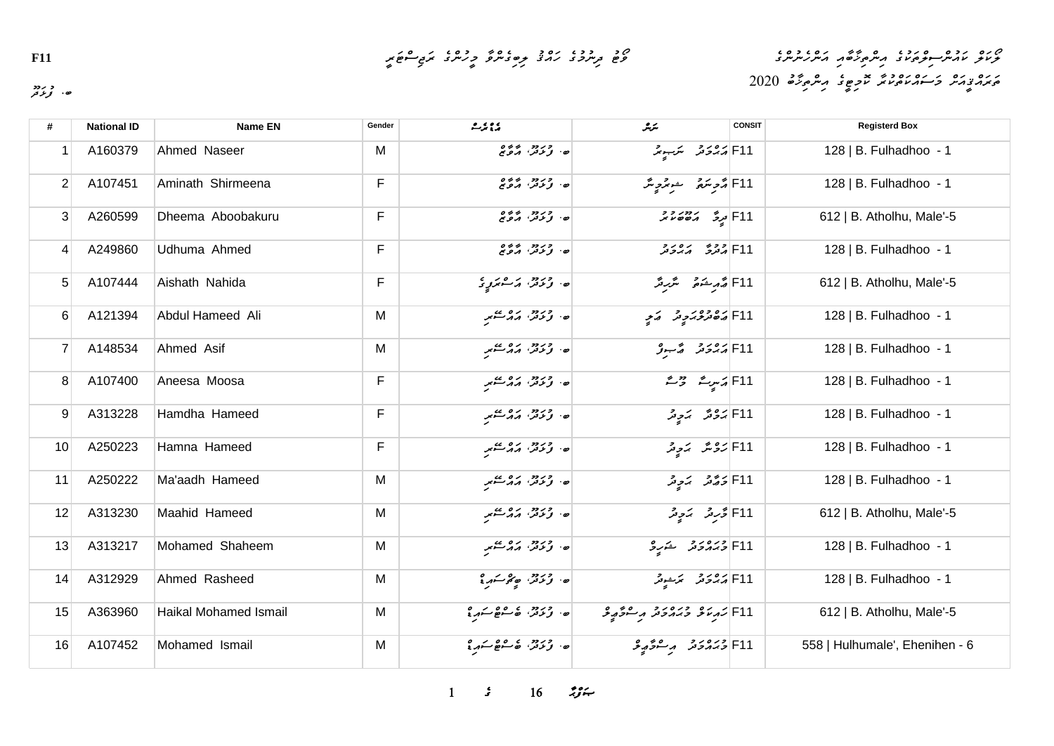*sCw7q7s5w7m< o<n9nOoAw7o< sCq;mAwBoEw7q<m; wBm;vB* م من المرة المرة المرة المرجع المرجع في المركبة 2020<br>مجم*د المريض المربوط المربع المرجع في المراجع المركبة* 

| œ<br>وعرفر |
|------------|
|------------|

| #              | <b>National ID</b> | Name EN                      | Gender       | يروبره                                    | سرپر                               | <b>CONSIT</b> | <b>Registerd Box</b>           |
|----------------|--------------------|------------------------------|--------------|-------------------------------------------|------------------------------------|---------------|--------------------------------|
|                | A160379            | Ahmed Naseer                 | M            | $0.44$ $0.722$ $0.00$                     | F11 كەبرى بىر سىزىتى بىر           |               | 128   B. Fulhadhoo - 1         |
| $\mathbf{2}$   | A107451            | Aminath Shirmeena            | F            | ەر دىرەدە<br>ھ∙ ئى ئىش' م°ق               | F11 مُرْحِبَتْهُ ۖ سُومُرْحِبَّتُر |               | 128   B. Fulhadhoo - 1         |
| 3 <sup>1</sup> | A260599            | Dheema Aboobakuru            | $\mathsf F$  | ەرەدە ئەتەرە<br>ھ∙ ئى ئىرىكى مەمى         | F11 مردً مُقصَّعتُ                 |               | 612   B. Atholhu, Male'-5      |
| 4              | A249860            | Udhuma Ahmed                 | $\mathsf F$  | ەر دىرەدە<br>ھ• تولىقى، مەھ               | F11 ړنرو پرورو                     |               | 128   B. Fulhadhoo - 1         |
| 5 <sup>5</sup> | A107444            | Aishath Nahida               | F            | ه . و دود . د کرور ، د                    | F11 مَگْرِسْتَوْ مِگْرِيْدَ _      |               | 612   B. Atholhu, Male'-5      |
| 6              | A121394            | Abdul Hameed Ali             | M            | ه وردد ده به به<br>ه ون در شمېر           | F11 رَەتروگەرچە گەرىپە             |               | 128   B. Fulhadhoo - 1         |
| 7              | A148534            | Ahmed Asif                   | M            | ه· ورود ره به ب                           | F11 كەندى قەسىرى                   |               | 128   B. Fulhadhoo - 1         |
| 8              | A107400            | Aneesa Moosa                 | F            | ه وردد ده به به<br>ه ون در شمېر           | F11 کەسرىگە تۇسگە                  |               | 128   B. Fulhadhoo - 1         |
| 9              | A313228            | Hamdha Hameed                | $\mathsf{F}$ | ەر دەدە بەھ بەھ<br>ھەر كەندىن بەير سىمبىر | F11  پَرُوْتَرُ کُرِوِتْرُ         |               | 128   B. Fulhadhoo - 1         |
| 10             | A250223            | Hamna Hameed                 | F            | ه· ورود ره به                             | F11 رَوْتَر پَرِيْرُ               |               | 128   B. Fulhadhoo - 1         |
| 11             | A250222            | Ma'aadh Hameed               | M            | ه وردد ده به به<br>ه ون در شمېر           | F11 رَمَّةْ بَرَوِيْر              |               | 128   B. Fulhadhoo - 1         |
| 12             | A313230            | Maahid Hameed                | M            | ه وردد ده به به<br>ه ون در شمېر           | F11  وَرِمْ سَرِمْ                 |               | 612   B. Atholhu, Male'-5      |
| 13             | A313217            | Mohamed Shaheem              | M            | ه وردد ده به به<br>ه وردد په شومر         | F11  <i>وټرونوتر</i> خ <i>ې</i> ږو |               | 128   B. Fulhadhoo - 1         |
| 14             | A312929            | Ahmed Rasheed                | M            | ه وردو هم شهره                            | F11 كەردى كەر بەر بىر              |               | 128   B. Fulhadhoo - 1         |
| 15             | A363960            | <b>Haikal Mohamed Ismail</b> | M            |                                           | F11 زېږندی د پرورو پر ۱۳۹۵ پری     |               | 612   B. Atholhu, Male'-5      |
| 16             | A107452            | Mohamed Ismail               | M            |                                           | F11 درەردىر مەش <i>ۇم</i> ۇ        |               | 558   Hulhumale', Ehenihen - 6 |

*1 s* 16 *i*<sub>Si</sub>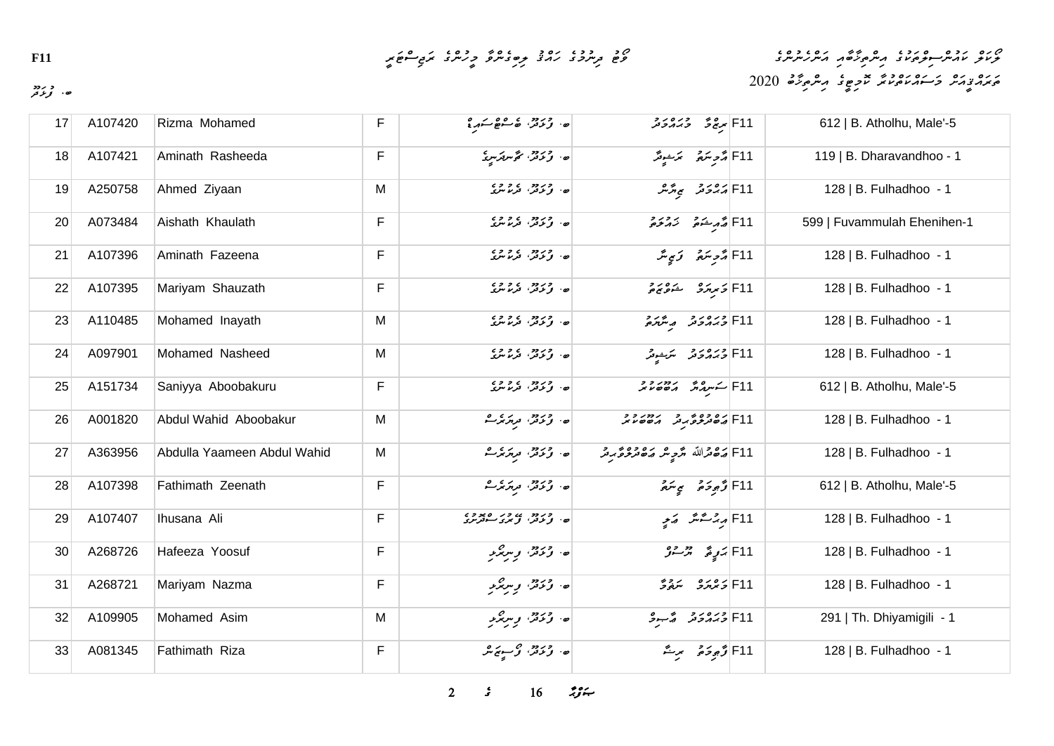*sCw7q7s5w7m< o<n9nOoAw7o< sCq;mAwBoEw7q<m; wBm;vB* م من المرة المرة المرة المرجع المرجع في المركبة 2020<br>مجم*د المريض المربوط المربع المرجع في المراجع المركبة* 

| 17 | A107420 | Rizma Mohamed               | $\mathsf F$ | ە· ترىزىس ھەسىم يەدە                                                                | F11 برج 5 - 5 بروتر<br>F11 برج 5 - 5 بروتر                           | 612   B. Atholhu, Male'-5   |
|----|---------|-----------------------------|-------------|-------------------------------------------------------------------------------------|----------------------------------------------------------------------|-----------------------------|
| 18 | A107421 | Aminath Rasheeda            | F           | ھ : وَكُوتُوْ) مُحَمَّسِ مِرْسِرِي                                                  | F11 مَّ حِسَمَ مَنْ مِنْ مِمَّةٍ مِنْ                                | 119   B. Dharavandhoo - 1   |
| 19 | A250758 | Ahmed Ziyaan                | M           | ور دو در دو د<br>۱۰۵ وروس تر در سر                                                  | F11   پر برگر په پر پر                                               | 128   B. Fulhadhoo - 1      |
| 20 | A073484 | Aishath Khaulath            | F           | ور دو.<br>ن تولاتر، ترناسری                                                         | F11 مەم شەھرە ئەم <i>كەن</i> دى                                      | 599   Fuvammulah Ehenihen-1 |
| 21 | A107396 | Aminath Fazeena             | F           | ور دو.<br>ن ژنونس تر د سر                                                           | F11 گەجەتىقى     ق. يا پىر                                           | 128   B. Fulhadhoo - 1      |
| 22 | A107395 | Mariyam Shauzath            | F           | ور دو دو ده.<br>ده و دور تر مسر                                                     | F11 كەبىرتى ھەمىم يە                                                 | 128   B. Fulhadhoo - 1      |
| 23 | A110485 | Mohamed Inayath             | M           | ور دو در دو د<br>۱۰۵ وروس تر در سر                                                  | F11 <i>32023 م</i> س <i>رم</i>                                       | 128   B. Fulhadhoo - 1      |
| 24 | A097901 | Mohamed Nasheed             | M           | ور دو در د د د د<br>ه۰ و د تر سر سر                                                 | F11  <i>32825</i> مگرسومگ                                            | 128   B. Fulhadhoo - 1      |
| 25 | A151734 | Saniyya Aboobakuru          | F           | ور دو دو ده ده ده دارد کار دارد دارد کند.<br>ده ۱۰ از کولار کار کار کار کرد کار کرد | $22222$ $2422$ $524$                                                 | 612   B. Atholhu, Male'-5   |
| 26 | A001820 | Abdul Wahid Aboobakur       | M           | ه ورده مرکزی م                                                                      | F11 ره وه د د د درود                                                 | 128   B. Fulhadhoo - 1      |
| 27 | A363956 | Abdulla Yaameen Abdul Wahid | M           | ص- ورود مریز مرکز ک                                                                 | F11 رَحْمَة اللّه مُرَّحِ مَرْ رَحْمَة مِنْ مِنْ الْمَرْحَمَّةِ مِنْ | 128   B. Fulhadhoo - 1      |
| 28 | A107398 | Fathimath Zeenath           | F           | ە . ورەد برېژنگرگ                                                                   | F11  <i>وُّهِ دَهُ</i> پِسَهُ                                        | 612   B. Atholhu, Male'-5   |
| 29 | A107407 | Ihusana Ali                 | $\mathsf F$ |                                                                                     | F11 مەشقىق كەم                                                       | 128   B. Fulhadhoo - 1      |
| 30 | A268726 | Hafeeza Yoosuf              | F           | ە كۆڭۈنگە بولىرىگىلىيە                                                              | F11 بَرَرٍ پُرَ بِرْمَتِرُ ا                                         | 128   B. Fulhadhoo - 1      |
| 31 | A268721 | Mariyam Nazma               | F           | ه ورد په پرتگو                                                                      | F11 كەبەر ئەرەبىچە ئىرە بىر                                          | 128   B. Fulhadhoo - 1      |
| 32 | A109905 | Mohamed Asim                | M           | ە كۆڭ بەيگى                                                                         | F11 <i>وَبَرْوُدُو</i> مَ <i>رْبِ</i> وْ                             | 291   Th. Dhiyamigili - 1   |
| 33 | A081345 | Fathimath Riza              | F           | ە بۇ ئەدەر بۇ سىرىمى بىر                                                            | F11 رَّجِودَة مِ سِنَّة                                              | 128   B. Fulhadhoo - 1      |

 $2$  *s* **16** *z s*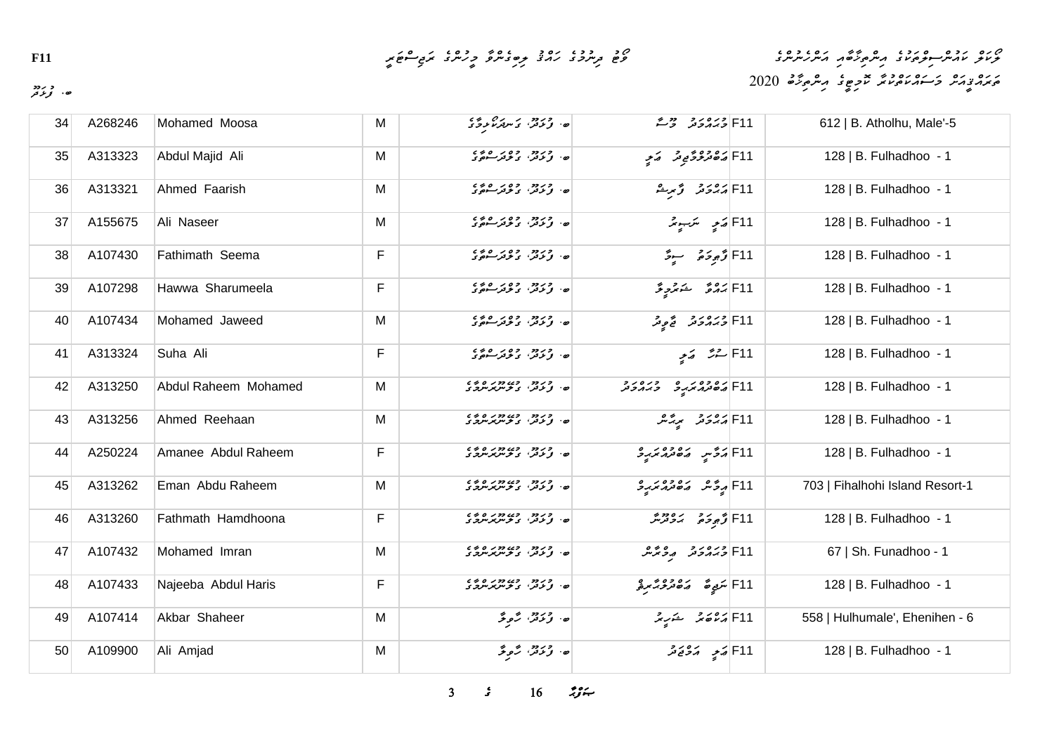*sCw7q7s5w7m< o<n9nOoAw7o< sCq;mAwBoEw7q<m; wBm;vB* م من المرة المرة المرة المرجع المرجع في المركبة 2020<br>مجم*د المريض المربوط المربع المرجع في المراجع المركبة* 

| 34 | A268246 | Mohamed Moosa        | M           | ەر دەر دىرەرە دە<br>ھەر ئەتىرى ئەس ئەرىم ئونى            | F11 كەبروگىز تۆسىگە                                                                                  | 612   B. Atholhu, Male'-5       |
|----|---------|----------------------|-------------|----------------------------------------------------------|------------------------------------------------------------------------------------------------------|---------------------------------|
| 35 | A313323 | Abdul Majid Ali      | M           | ور ده د ده د ده ده.<br>ن و د در د د در سور               | F11 ړَ ه تروڅو تو ته کوي                                                                             | 128   B. Fulhadhoo - 1          |
| 36 | A313321 | Ahmed Faarish        | M           | ور ده د ده د ه ده د.<br>ه۰ و د در د                      | F11 كەردى قى ئەرىش                                                                                   | 128   B. Fulhadhoo - 1          |
| 37 | A155675 | Ali Naseer           | M           | ور ده د ده د ه ده د<br>ن و د در د د در سور               | F11  رَمٍ سَرَبِهِ مَرْ                                                                              | 128   B. Fulhadhoo - 1          |
| 38 | A107430 | Fathimath Seema      | $\mathsf F$ | ور ده د ده ده ده.<br>ه۰ و د در در سور                    | F11 <i>وُجوح</i> قو سوچً                                                                             | 128   B. Fulhadhoo - 1          |
| 39 | A107298 | Hawwa Sharumeela     | F           | ور ده د ده د ه ده د<br>ن و د در د د در سور               | F11 بَرْدُهٌ شَمَرَدٍ وَّ                                                                            | 128   B. Fulhadhoo - 1          |
| 40 | A107434 | Mohamed Jaweed       | M           | ور ده د ده ده ده.<br>ه۰ و د تر، د و تر سور               | F11   3 يُدَرُونَ مَنْ صَحْ مِرْرٌ                                                                   | 128   B. Fulhadhoo - 1          |
| 41 | A313324 | Suha Ali             | $\mathsf F$ | ه در در دور ده ده<br>ن و دند، د وند سود                  | F11 شرچھ کی ج                                                                                        | 128   B. Fulhadhoo - 1          |
| 42 | A313250 | Abdul Raheem Mohamed | M           | כנדה במכר באיני המי<br>פי צינקי ביבייטיקודיב             | F11 בטינגיבים כמהכת                                                                                  | 128   B. Fulhadhoo - 1          |
| 43 | A313256 | Ahmed Reehaan        | M           | כנח כמו כמו המיני<br>פי ציטי ביבייטטיטכב                 | F11 كەبۇر كىمە بىر ئەشر                                                                              | 128   B. Fulhadhoo - 1          |
| 44 | A250224 | Amanee Abdul Raheem  | F           | כנים - כני המודעים בין<br>פי צינקי ביציינטרינט           | F11 رَدَّسٍ رَهُ <i>وَهُ بَرَب</i> رِدَ                                                              | 128   B. Fulhadhoo - 1          |
| 45 | A313262 | Eman Abdu Raheem     | M           | רג חר כגו חידור סיגון<br>פי ציניקי בייתומיינדיב          | F11 مرڈش مصر متمدیز                                                                                  | 703   Fihalhohi Island Resort-1 |
| 46 | A313260 | Fathmath Hamdhoona   | $\mathsf F$ | - כנח - כנוחו סיוו<br>פי- צינקי- ביציינו שנבצ            | F11 تۇ <sub>ج</sub> و <i>خى بەدەن</i> تر                                                             | 128   B. Fulhadhoo - 1          |
| 47 | A107432 | Mohamed Imran        | M           | כנד כגוב המידעים<br>פי ציטי בי <i>ב</i> ייט <i>ב</i> יטב | F11 <i>32023 م</i> وترنتر                                                                            | 67   Sh. Funadhoo - 1           |
| 48 | A107433 | Najeeba Abdul Haris  | $\mathsf F$ | כנכר כני המינים בי<br>ישי ציבתי ביבייניבייניביב          | F11 سَمِعٍ صَصَّ مِنْ مِعْرِ مُرْجَمَ مِنْ حَمْدِهِ مِنْ مِنْ مِنْ حَمْدِهِ مِنْ مِنْ مِنْ مِنْ حَمْ | 128   B. Fulhadhoo - 1          |
| 49 | A107414 | Akbar Shaheer        | M           | ە بۇنىڭ ئەبەق                                            |                                                                                                      | 558   Hulhumale', Ehenihen - 6  |
| 50 | A109900 | Ali Amjad            | M           | ە ئۇنىڭ ئوق                                              | F11 كەمچە كەنى قىر                                                                                   | 128   B. Fulhadhoo - 1          |

**3** *s* **16** *z***<sub>***s***</sub> <b>***z*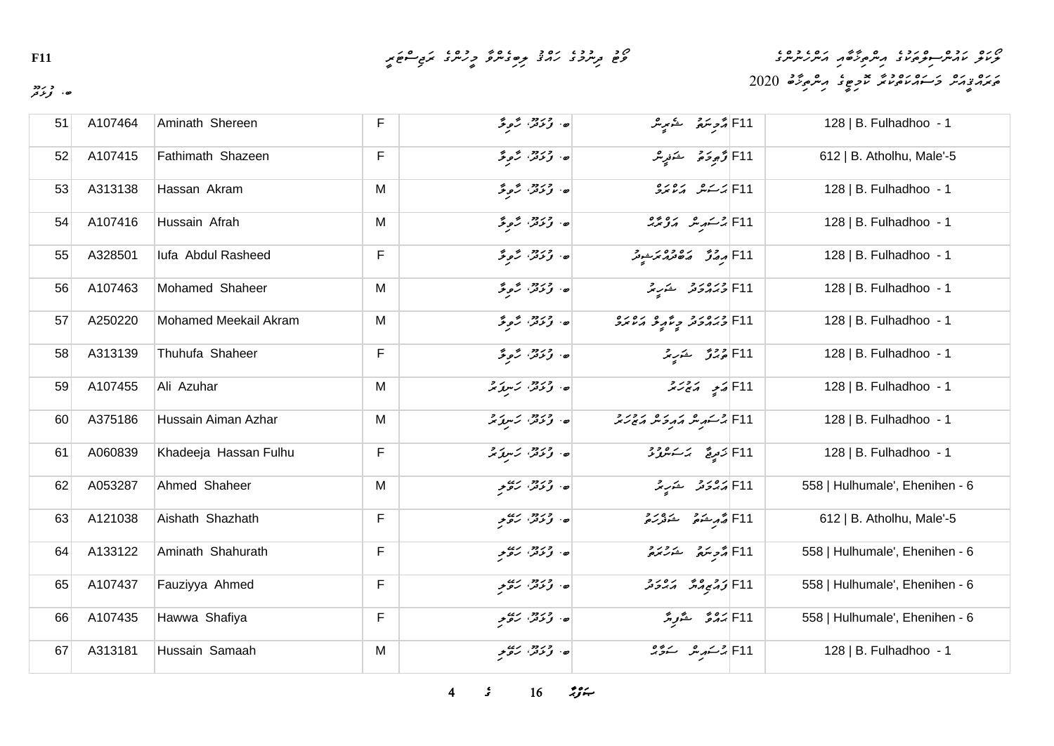*sCw7q7s5w7m< o<n9nOoAw7o< sCq;mAwBoEw7q<m; wBm;vB* م من المرة المرة المرة المرجع المرجع في المركبة 2020<br>مجم*د المريض المربوط المربع المرجع في المراجع المركبة* 

| 51 | A107464 | Aminath Shereen       | $\mathsf{F}$ | ە بۇنىڭ ئوق                  | F11   مَرْحِ سَمَّ سَمَّ سِرْ سَمَّ سَمَّة سِرْ سَمَّة سِرْ سَمَّا | 128   B. Fulhadhoo - 1         |
|----|---------|-----------------------|--------------|------------------------------|--------------------------------------------------------------------|--------------------------------|
| 52 | A107415 | Fathimath Shazeen     | F            | ە ئۇنىڭ ئەبۇ                 | F11 و <i>ڳوڪو ش</i> َن <sub>و</sub> ِير                            | 612   B. Atholhu, Male'-5      |
| 53 | A313138 | Hassan Akram          | M            | ە ئەندىق ئەمۇ                | F11 پرسک پره پرو                                                   | 128   B. Fulhadhoo - 1         |
| 54 | A107416 | Hussain Afrah         | M            | ە ئۇنىڭ ئۇق                  | F11 پرستمبر میں مقدم محمد                                          | 128   B. Fulhadhoo - 1         |
| 55 | A328501 | lufa Abdul Rasheed    | $\mathsf F$  | ە ئەندىق ئەم                 | F11 م <i>مثل مقصد مت</i> شير                                       | 128   B. Fulhadhoo - 1         |
| 56 | A107463 | Mohamed Shaheer       | M            | ە ئۇنىڭ ئوق                  | F11 <i>وُبَرُوْدَة حَدِيرٌ</i>                                     | 128   B. Fulhadhoo - 1         |
| 57 | A250220 | Mohamed Meekail Akram | M            | ه ژندن ژوژ                   | F11  ديرو ديم ديم پر دي پره دي                                     | 128   B. Fulhadhoo - 1         |
| 58 | A313139 | Thuhufa Shaheer       | $\mathsf F$  | ە ئەرەپى ئەرگى               | F11 ج پر پش بند بند                                                | 128   B. Fulhadhoo - 1         |
| 59 | A107455 | Ali Azuhar            | M            | ے وردو ترس کر                | F11  رَمِ کَمَی کُمْ                                               | 128   B. Fulhadhoo - 1         |
| 60 | A375186 | Hussain Aiman Azhar   | M            | ە . ئۇنىڭ ئاسلام             | F11 ير ڪرير مگر ڪري ڪري ڪري                                        | 128   B. Fulhadhoo - 1         |
| 61 | A060839 | Khadeeja Hassan Fulhu | $\mathsf F$  | ے وردو تر تر تر تر           | F11 زَمِرِجٌ - بَرَسَمبُوُکُ                                       | 128   B. Fulhadhoo - 1         |
| 62 | A053287 | Ahmed Shaheer         | M            | ه· ورود ره د                 | F11 كەردى ئىم سىمبەر ئىس                                           | 558   Hulhumale', Ehenihen - 6 |
| 63 | A121038 | Aishath Shazhath      | $\mathsf F$  | ە ئىمەت ئەتە                 | F11 مُدمِّسْمَة شَوْرَة و                                          | 612   B. Atholhu, Male'-5      |
| 64 | A133122 | Aminath Shahurath     | F            | ه وردو ره و                  | F11 مُج سَمَعُ شَدَيْرَ مُحَمَّدٍ                                  | 558   Hulhumale', Ehenihen - 6 |
| 65 | A107437 | Fauziyya Ahmed        | $\mathsf F$  | ه ورود ره د                  | F11 زېږې په پر پرونر                                               | 558   Hulhumale', Ehenihen - 6 |
| 66 | A107435 | Hawwa Shafiya         | $\mathsf F$  | ه· ورود ره د                 | F11 بَرْدُوَّ شَ <sup>و</sup> َرِ بَرُّ                            | 558   Hulhumale', Ehenihen - 6 |
| 67 | A313181 | Hussain Samaah        | M            | ے وکردہ ہے۔<br>ے وکرفرا رکوب | F11 پر کمبر شرکت کر دیگر<br>F11                                    | 128   B. Fulhadhoo - 1         |

*4 s* 16 *i*<sub>Si</sub>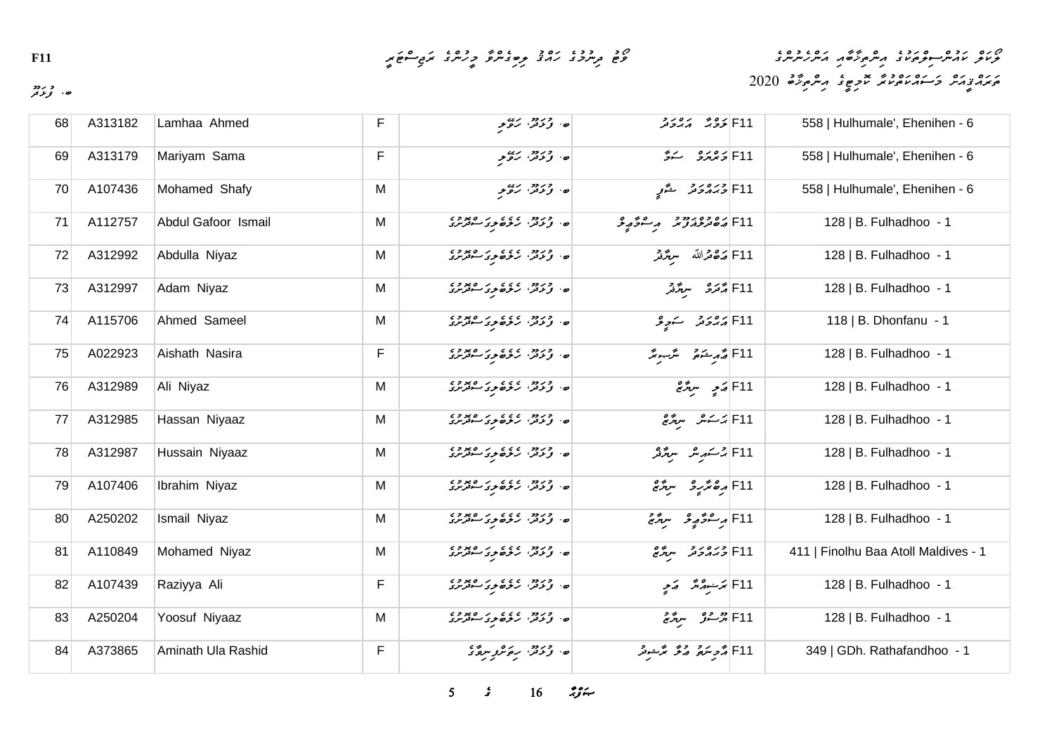*sCw7q7s5w7m< o<n9nOoAw7o< sCq;mAwBoEw7q<m; wBm;vB* م من المرة المرة المرة المرجع المرجع في المركبة 2020<br>مجم*د المريض المربوط المربع المرجع في المراجع المركبة* 

| 68 | A313182 | Lamhaa Ahmed        | F | ە كۆكۈش رەي <sub>ى</sub>                                 | F11 تر <i>وبڑ پروت</i> ر                            | 558   Hulhumale', Ehenihen - 6       |
|----|---------|---------------------|---|----------------------------------------------------------|-----------------------------------------------------|--------------------------------------|
| 69 | A313179 | Mariyam Sama        | F | ە كۆكۈن كۆلۈ                                             | F11 دېمگرو شو                                       | 558   Hulhumale', Ehenihen - 6       |
| 70 | A107436 | Mohamed Shafy       | M | ے کرکڑ کے بات                                            | F11 وَبَرُوْدَتْرَ شَّورِ                           | 558   Hulhumale', Ehenihen - 6       |
| 71 | A112757 | Abdul Gafoor Ismail | M | ه ۱۶۶۶ ورود ده در ۱۶۶۵<br>۱۰ و نومل گرفت نوم کامل        | F11 رەدەردە بەر مەرگە ئ                             | 128   B. Fulhadhoo - 1               |
| 72 | A312992 | Abdulla Niyaz       | M | ور دو.<br>ن و د در از د د د د د د در د د                 | F11 مَەھْتَرَاللَّهُ سَمَّرَتَنَّر                  | 128   B. Fulhadhoo - 1               |
| 73 | A312997 | Adam Niyaz          | M | ور دو در در در در در در<br>ن و د در رون در در در در      | F11 أَرْتَرَدُّ سِتَرْتَرُ                          | 128   B. Fulhadhoo - 1               |
| 74 | A115706 | Ahmed Sameel        | M | ور دو در در در میرون<br>مسئولاتر، گرفت در مترکزی         | F11  پَرْدُوَسْ سَوِوْ                              | 118   B. Dhonfanu - 1                |
| 75 | A022923 | Aishath Nasira      | F | ور دو در در در میرون<br>مسئولاتر، گرفت در مترکزی         | F11 مُەم شەمۇر سىمبەسىگە                            | 128   B. Fulhadhoo - 1               |
| 76 | A312989 | Ali Niyaz           | M | ور دو در در در در در در<br>ن و دور از روه در سهرس        | F11 رَمِ سِ <i>رَدُّ</i> ءُ                         | 128   B. Fulhadhoo - 1               |
| 77 | A312985 | Hassan Niyaaz       | M |                                                          | F11 ئەسىئە ئىبەرتىقى F                              | 128   B. Fulhadhoo - 1               |
| 78 | A312987 | Hussain Niyaaz      | M | ور دو در در در در در در<br>در از در در در در در در در در | F11 پر کمبر شریع میں پر شریفہ                       | 128   B. Fulhadhoo - 1               |
| 79 | A107406 | Ibrahim Niyaz       | M | ه ورده ورو ورموده.<br>من ولاتر، رکوه در مستربرد          | F11 م <i>وھنگرد</i> و سر <i>مگ</i> ھ                | 128   B. Fulhadhoo - 1               |
| 80 | A250202 | Ismail Niyaz        | M | ور دو در در در در در در<br>ن و دور از روه در سهرس        | F11 موسكۇم <sub>ۇ</sub> تۇ س <i>رگ<sup>ەج</sup></i> | 128   B. Fulhadhoo - 1               |
| 81 | A110849 | Mohamed Niyaz       | M | ور دو در در در در در در<br>در از در در در در در در در در | F11 دېرورو سرگړي                                    | 411   Finolhu Baa Atoll Maldives - 1 |
| 82 | A107439 | Raziyya Ali         | F |                                                          | F11 بَرَسِ <i>مِرُهُ * مَ</i> حِ                    | 128   B. Fulhadhoo - 1               |
| 83 | A250204 | Yoosuf Niyaaz       | M | ور دو در در در میرون<br>مسئولاتر، گرفت در مترکزی         | F11 ترکسو میں پر تھ                                 | 128   B. Fulhadhoo - 1               |
| 84 | A373865 | Aminath Ula Rashid  | F | ه . و دره رو در سرو بر                                   | F11 مُ <i>جِسَمُ مُحَمَّدُ مُحَ</i> سُبِيْنَ        | 349   GDh. Rathafandhoo - 1          |

 $5$   $5$   $16$   $25$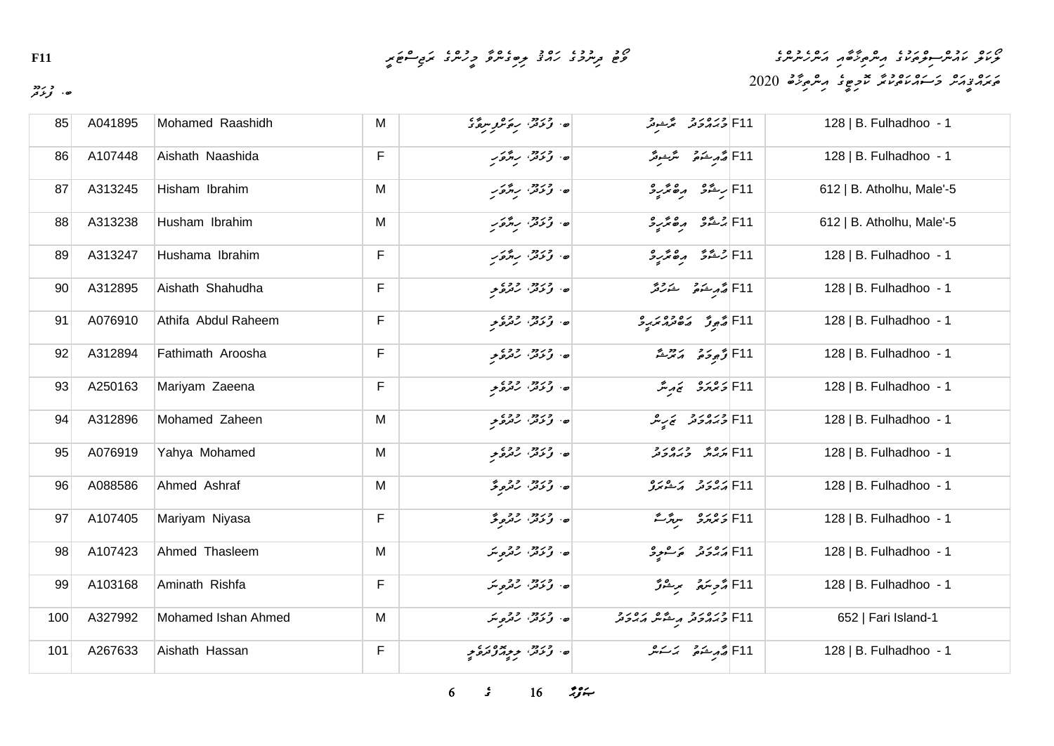*sCw7q7s5w7m< o<n9nOoAw7o< sCq;mAwBoEw7q<m; wBm;vB* م من المرة المرة المرة المرجع المرجع في المركبة 2020<br>مجم*د المريض المربوط المربع المرجع في المراجع المركبة* 

| 85  | A041895 | Mohamed Raashidh    | M           | ه . د دوه رو دو سرو د       | F11 <i>وُبَرُوْدُو بُرَّ</i> ىدِيْر         | 128   B. Fulhadhoo - 1    |
|-----|---------|---------------------|-------------|-----------------------------|---------------------------------------------|---------------------------|
| 86  | A107448 | Aishath Naashida    | F           | ه ورد به بروگر              | F11 م <i>ەً بە</i> ھەتەھ گرىسون <i>ى</i> ر  | 128   B. Fulhadhoo - 1    |
| 87  | A313245 | Hisham Ibrahim      | M           | ه وردو رور                  | F11 رِحْوُ مِصْرَّرِوْ                      | 612   B. Atholhu, Male'-5 |
| 88  | A313238 | Husham Ibrahim      | M           | ه ورده رژور                 | F11 بَرْشُوْ مِرْهُ بَرْرِدْ                | 612   B. Atholhu, Male'-5 |
| 89  | A313247 | Hushama Ibrahim     | F           | ە بۇ ئۇنى بەرگەب            | F11 رَحْدًوَ مِنْ مِرْدِةِ                  | 128   B. Fulhadhoo - 1    |
| 90  | A312895 | Aishath Shahudha    | F           | ه وردو ووه<br>ه ون روونې    | F11 صَّمِ مِشَمَّى مِسْتَرْشَ               | 128   B. Fulhadhoo - 1    |
| 91  | A076910 | Athifa Abdul Raheem | F           | ه ورده دوه و                | F11 مَّ مِوتَر مَصْرَمْ <i>مَرْدَ بِ</i> حَ | 128   B. Fulhadhoo - 1    |
| 92  | A312894 | Fathimath Aroosha   | $\mathsf F$ | ه وردو ووه<br>ه ون روونې    | F11 وَج <i>وحَ</i> هُم مَرْشَر الله         | 128   B. Fulhadhoo - 1    |
| 93  | A250163 | Mariyam Zaeena      | F           | ه ورده ووه<br>ه ونوس رفزونو | F11  <i>خ<sup>و</sup>ندی تج</i> میگر        | 128   B. Fulhadhoo - 1    |
| 94  | A312896 | Mohamed Zaheen      | M           | ه ورده دوه و                | F11  <i>وټرونو ټې</i> شر                    | 128   B. Fulhadhoo - 1    |
| 95  | A076919 | Yahya Mohamed       | M           | ه وردو ووه<br>ه ون روون     | F11 يزير په دره در                          | 128   B. Fulhadhoo - 1    |
| 96  | A088586 | Ahmed Ashraf        | M           | ه ورده دورتی                | F11 كەبرى كى كەنگەنگەنى ئىستات بىر          | 128   B. Fulhadhoo - 1    |
| 97  | A107405 | Mariyam Niyasa      | $\mathsf F$ | ه ورده دور                  | F11 دېرو سرگ                                | 128   B. Fulhadhoo - 1    |
| 98  | A107423 | Ahmed Thasleem      | M           | ه ورده ژور شر               | F11 <i>גُرُوَتْرَ بِيَ حُبُوِ</i> وْ        | 128   B. Fulhadhoo - 1    |
| 99  | A103168 | Aminath Rishfa      | $\mathsf F$ | ے ۔ وردو حقومتر             | F11 مُّجِسَمَ مِشْرٌ                        | 128   B. Fulhadhoo - 1    |
| 100 | A327992 | Mohamed Ishan Ahmed | M           | ه وردو وورد                 | F11 ويرودو <sub>م</sub> رغه كارورو          | 652   Fari Island-1       |
| 101 | A267633 | Aishath Hassan      | F           | ه· دردور و دروره د          | F11 <mark>ت</mark> ەمرىشقى برىكەش           | 128   B. Fulhadhoo - 1    |

 $6$   $3$   $16$   $23$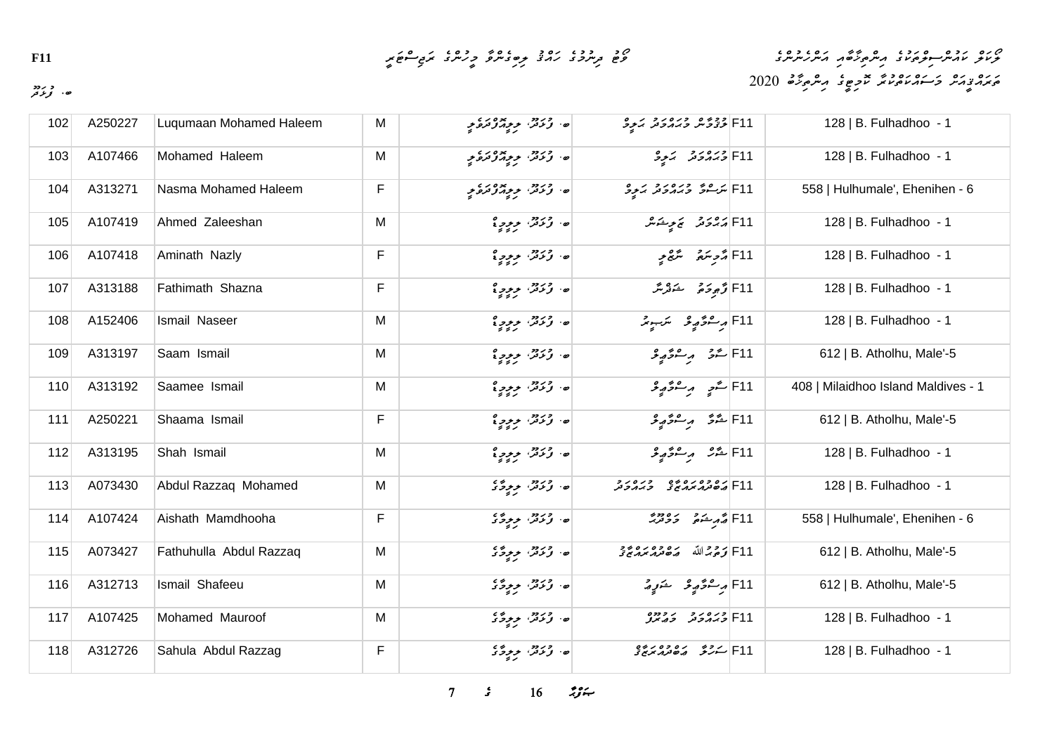*sCw7q7s5w7m< o<n9nOoAw7o< sCq;mAwBoEw7q<m; wBm;vB* م من المرة المرة المرة المرجع المرجع في المركبة 2020<br>مجم*د المريض المربوط المربع المرجع في المراجع المركبة* 

| 102 | A250227 | Luqumaan Mohamed Haleem | M | @ <sub>`</sub> زَرَدْرُ، <sub>مُرْمِ</sub> يْرُ رُمَوْمِي | F11 وَذَوْرٌ مَدَّ وَرَوْرٌ رَبِّ وَ        | 128   B. Fulhadhoo - 1              |
|-----|---------|-------------------------|---|-----------------------------------------------------------|---------------------------------------------|-------------------------------------|
| 103 | A107466 | Mohamed Haleem          | M | @ زَكَرْتْرُ، مِعِيدْ دْكَرْكَرْمِ مِ                     | F11  <i>وُبَہُ دُوَتَہ بَہُ</i> وِیْ        | 128   B. Fulhadhoo - 1              |
| 104 | A313271 | Nasma Mohamed Haleem    | F | ص- وردوم موجد وتروم به                                    | F11 سَرَحْدَ وَبَرَ رَوِدٍ رَوِدَ           | 558   Hulhumale', Ehenihen - 6      |
| 105 | A107419 | Ahmed Zaleeshan         | M | ه ورده ووو،                                               | F11  پَرُوکِرْ کے مِیشکر                    | 128   B. Fulhadhoo - 1              |
| 106 | A107418 | Aminath Nazly           | F | ه ورده وودٍ و                                             | F11 مُتَّحِسَّعَ مَتَّتَّحَ مِ              | 128   B. Fulhadhoo - 1              |
| 107 | A313188 | Fathimath Shazna        | F | ه ورده وود ؟                                              | F11 <i>وَّجِوَدَة</i> شَقرتَر               | 128   B. Fulhadhoo - 1              |
| 108 | A152406 | Ismail Naseer           | M | ه ورده وود ؟                                              | F11 م <sub>ە</sub> ستىۋەپى سىب پىر          | 128   B. Fulhadhoo - 1              |
| 109 | A313197 | Saam Ismail             | M | ه ورده وود ؟                                              | F11 گەتى ب <sub>ە</sub> ر مەن <i>ۇب</i> ەبى | 612   B. Atholhu, Male'-5           |
| 110 | A313192 | Saamee Ismail           | M | ه ورده وود،                                               | F11 گج پر شۇرپۇ                             | 408   Milaidhoo Island Maldives - 1 |
| 111 | A250221 | Shaama Ismail           | F | ص توکوتر، وودي                                            | F11 شَرَقَ بِرِ سُرَّتِهِ تَوْ              | 612   B. Atholhu, Male'-5           |
| 112 | A313195 | Shah Ismail             | M | ه ژرده وود؟                                               | F11 ڪثر پرڪو <i>ڻو</i> نو                   | 128   B. Fulhadhoo - 1              |
| 113 | A073430 | Abdul Razzaq Mohamed    | M | ه ژنژنش ووژن                                              | F11 ره وه ره ده وره رو<br>F11 ره در مرد مئ  | 128   B. Fulhadhoo - 1              |
| 114 | A107424 | Aishath Mamdhooha       | F | ه ورده ووژه                                               | F11 مەم ھەم ئەرەپەتە                        | 558   Hulhumale', Ehenihen - 6      |
| 115 | A073427 | Fathuhulla Abdul Razzaq | M | ه ورد ووژء                                                | F11 زوج الله به صور محدد بره د              | 612   B. Atholhu, Male'-5           |
| 116 | A312713 | Ismail Shafeeu          | M | ه ورده ووژک                                               | F11 <sub>م</sub> رےد <i>و چو جنوب</i>       | 612   B. Atholhu, Male'-5           |
| 117 | A107425 | Mohamed Mauroof         | M | ه ورد ووژء                                                | F11 دره د به دوه و در بر                    | 128   B. Fulhadhoo - 1              |
| 118 | A312726 | Sahula Abdul Razzag     | F | ه ورده ووژء                                               | F11 شرقر پرەپورىرى<br>F11 شرقر پەھىرىرىمرى  | 128   B. Fulhadhoo - 1              |

 $7$  *s* 16  $23$   $\div$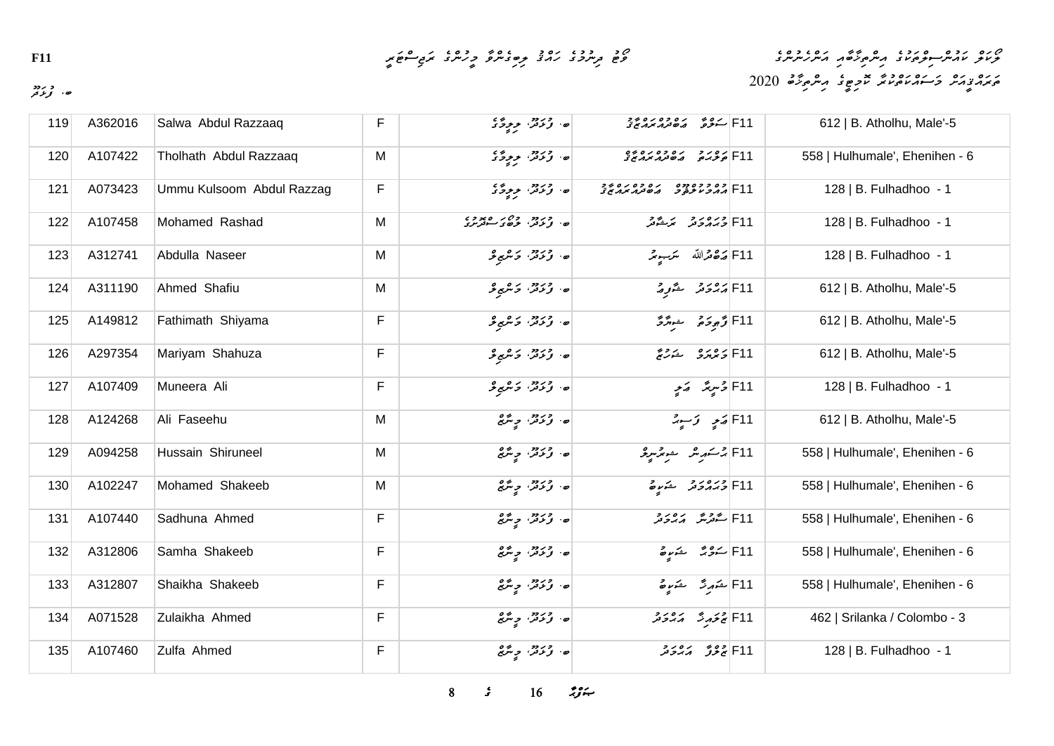*sCw7q7s5w7m< o<n9nOoAw7o< sCq;mAwBoEw7q<m; wBm;vB* م من المرة المرة المرة المرجع المرجع في المركبة 2020<br>مجم*د المريض المربوط المربع المرجع في المراجع المركبة* 

| 119 | A362016 | Salwa Abdul Razzaaq       | $\mathsf F$ | ه ورد ووژء                             | F11 كونونى بەرەمەرە بور                             | 612   B. Atholhu, Male'-5      |
|-----|---------|---------------------------|-------------|----------------------------------------|-----------------------------------------------------|--------------------------------|
| 120 | A107422 | Tholhath Abdul Razzaaq    | M           | ه ورده ووژء                            | F11 <sub>مو</sub> مرد ره ده ده ده و                 | 558   Hulhumale', Ehenihen - 6 |
| 121 | A073423 | Ummu Kulsoom Abdul Razzag | $\mathsf F$ | ه ورده ووژه                            |                                                     | 128   B. Fulhadhoo - 1         |
| 122 | A107458 | Mohamed Rashad            | M           | ور دو دره روپر ده<br>ده ژنژن نوده کامر | F11 وَيَرُووَتَرُ - يَرَشُوَرُ                      | 128   B. Fulhadhoo - 1         |
| 123 | A312741 | Abdulla Naseer            | M           | ے وردو کرھی تھ                         | F11 كَرْجْ مْرْاللَّه مَرْسِوِيْرْ                  | 128   B. Fulhadhoo - 1         |
| 124 | A311190 | Ahmed Shafiu              | M           | ه وردو کري و                           | F11 كەبۇبۇقىر مىگ <sub>ىم</sub> ى كە                | 612   B. Atholhu, Male'-5      |
| 125 | A149812 | Fathimath Shiyama         | F           | ە بەدە كەرگەنچ                         | F11 تَ <i>وْجِ</i> وَحَمَّ شِيَرَّدَّ               | 612   B. Atholhu, Male'-5      |
| 126 | A297354 | Mariyam Shahuza           | $\mathsf F$ | ے وردو کری و                           | F11 وَيُرْتَزَرُ مُسَرَكَبِيَّ                      | 612   B. Atholhu, Male'-5      |
| 127 | A107409 | Muneera Ali               | F           | ے وردو کرھی تھ                         | F11  3سرپر کمبر                                     | 128   B. Fulhadhoo - 1         |
| 128 | A124268 | Ali Faseehu               | M           | ه ژندن دِ ترتم                         | F11 کھ تی تی پیڈ                                    | 612   B. Atholhu, Male'-5      |
| 129 | A094258 | Hussain Shiruneel         | M           | ه ژنرن دِ شَي                          | F11 پرڪرپر ھوپرپولا                                 | 558   Hulhumale', Ehenihen - 6 |
| 130 | A102247 | Mohamed Shakeeb           | M           | ه ژنرن دِ شَي                          | F11 <i>وُبَرُوْدَوْ</i> شَر <i>ْ</i> ي <sup>ة</sup> | 558   Hulhumale', Ehenihen - 6 |
| 131 | A107440 | Sadhuna Ahmed             | $\mathsf F$ | ه ژرده د پژه                           | F11 گۇرىگە كەبر <i>ەر ج</i>                         | 558   Hulhumale', Ehenihen - 6 |
| 132 | A312806 | Samha Shakeeb             | F           | ە بۇ ئۇن بېرىگى                        | F11 سَتَرْبَّرُ شَمَعِ صَحَّةً                      | 558   Hulhumale', Ehenihen - 6 |
| 133 | A312807 | Shaikha Shakeeb           | $\mathsf F$ | ه ژنرن دِ ش                            | F11 ڪمبرگ ڪمو <b>ٽ</b>                              | 558   Hulhumale', Ehenihen - 6 |
| 134 | A071528 | Zulaikha Ahmed            | F           | ه ژنرن دِ شَي                          | F11 يحترك بمركز تركيب                               | 462   Srilanka / Colombo - 3   |
| 135 | A107460 | Zulfa Ahmed               | F           | ه ژنرو پرتره                           | F11 يحوً <i>و م</i> كرومر                           | 128   B. Fulhadhoo - 1         |

**8** *s* **16** *z s*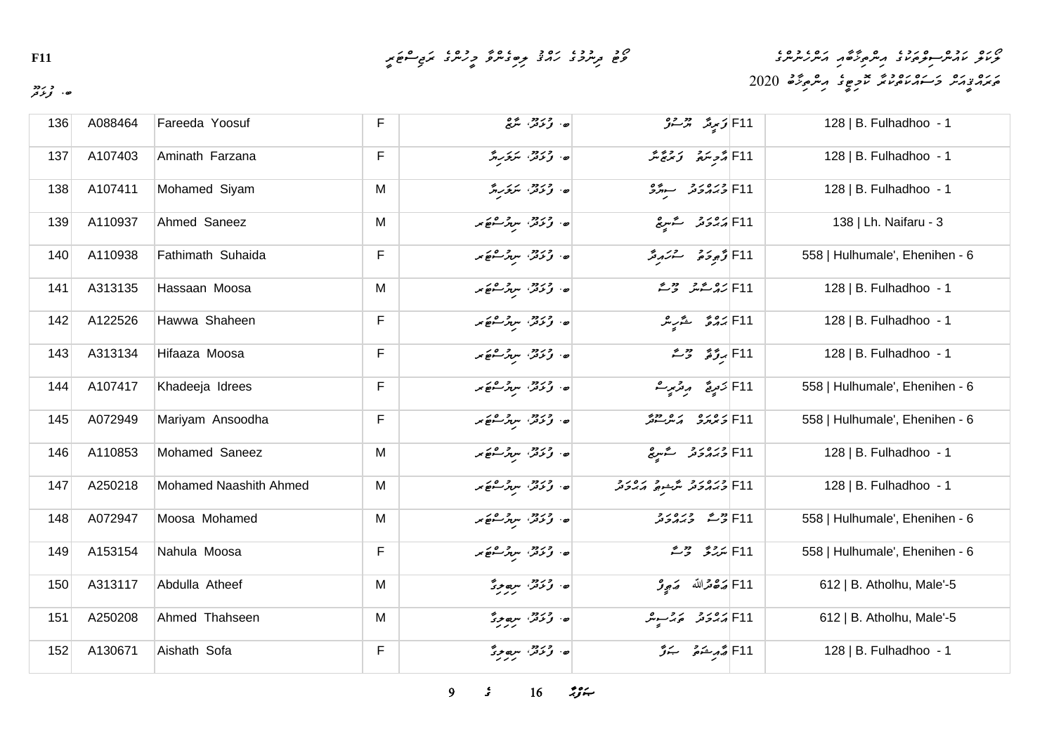*sCw7q7s5w7m< o<n9nOoAw7o< sCq;mAwBoEw7q<m; wBm;vB* م من المرة المرة المرة المرجع المرجع في المركبة 2020<br>مجم*د المريض المربوط المربع المرجع في المراجع المركبة* 

| 136 | A088464 | Fareeda Yoosuf         | $\mathsf F$  | ە ئۇنۇش شىرە                        | F11 كۆمىرنىڭ كېزىستونى                                           | 128   B. Fulhadhoo - 1         |
|-----|---------|------------------------|--------------|-------------------------------------|------------------------------------------------------------------|--------------------------------|
| 137 | A107403 | Aminath Farzana        | F            | ە دىن ئىركىد                        | F11 أَمَّ حِسَمَةً مَّ وَتَمَتَّعَ مَّرَ                         | 128   B. Fulhadhoo - 1         |
| 138 | A107411 | Mohamed Siyam          | M            | ە ئەرەدە ئىرىگە ئە                  | F11 دېرونو سوگړو                                                 | 128   B. Fulhadhoo - 1         |
| 139 | A110937 | Ahmed Saneez           | M            | $x e^{2}$ $y y$ $y$ $y$ $y$ $y$ $y$ | F11 كەبرى قىرىقى سىگەنىزچ                                        | 138   Lh. Naifaru - 3          |
| 140 | A110938 | Fathimath Suhaida      | F            | ھ قرندو سرگر من دھي                 | F11 تَ <i>حْمِوحَةْ شَرَم</i> ِيثَرَ                             | 558   Hulhumale', Ehenihen - 6 |
| 141 | A313135 | Hassaan Moosa          | M            | ھ وکوئر، سرگر شوڪر                  | F11 كەبۇسىگىر قۇش                                                | 128   B. Fulhadhoo - 1         |
| 142 | A122526 | Hawwa Shaheen          | F            | ه وردو سرگر عبر<br>ه و د تر         | F11 بَرْدُوَّ شَرِسْ ِ                                           | 128   B. Fulhadhoo - 1         |
| 143 | A313134 | Hifaaza Moosa          | F            |                                     | F11 بردٌوٌ تَرْسٌ                                                | 128   B. Fulhadhoo - 1         |
| 144 | A107417 | Khadeeja Idrees        | F            | ھ ورود سرگر من دھ                   | F11 كَتَرِيعٌ - مِثْرَمِرِ مُسْ                                  | 558   Hulhumale', Ehenihen - 6 |
| 145 | A072949 | Mariyam Ansoodha       | F            | ھ وکوئر، سرگر شویم                  | F11   د بره د مه شرح شور<br>F11   د بررد د برگر                  | 558   Hulhumale', Ehenihen - 6 |
| 146 | A110853 | Mohamed Saneez         | M            | ھ وردو سرگر عوض                     | F11  <i>ۋېزودى ئى</i> سىنى                                       | 128   B. Fulhadhoo - 1         |
| 147 | A250218 | Mohamed Naashith Ahmed | M            | ھ ورود سرگر من دھ                   | F11 <i>ويروونر مرَّجوم م</i> ر <i>ود</i> ر                       | 128   B. Fulhadhoo - 1         |
| 148 | A072947 | Moosa Mohamed          | M            | ھ وکوئو، سرگر شویج مر               | F11 تۇشقە ئەيمەد ئەر                                             | 558   Hulhumale', Ehenihen - 6 |
| 149 | A153154 | Nahula Moosa           | F            | ھ وکوئر، سرگر شویم مر               | F11 يَرْرُقُ تَرْسُمُ                                            | 558   Hulhumale', Ehenihen - 6 |
| 150 | A313117 | Abdulla Atheef         | $\mathsf{M}$ | ם ציבה יינסיבל                      | F11 مَەھىراللە م <i>ەبو</i> ر                                    | 612   B. Atholhu, Male'-5      |
| 151 | A250208 | Ahmed Thahseen         | M            | ے ورود سرح پر محمد تک               | F11   <i>د ج</i> وير مرجمہ پر پہلی<br> F11  اوبر جو مرکز کے مرکز | 612   B. Atholhu, Male'-5      |
| 152 | A130671 | Aishath Sofa           | F            | ם ציבה תסיבב                        | F11 مەم ئىقىمە سى <i>قۇ</i>                                      | 128   B. Fulhadhoo - 1         |

*9 s* 16 *i*<sub>Si</sub>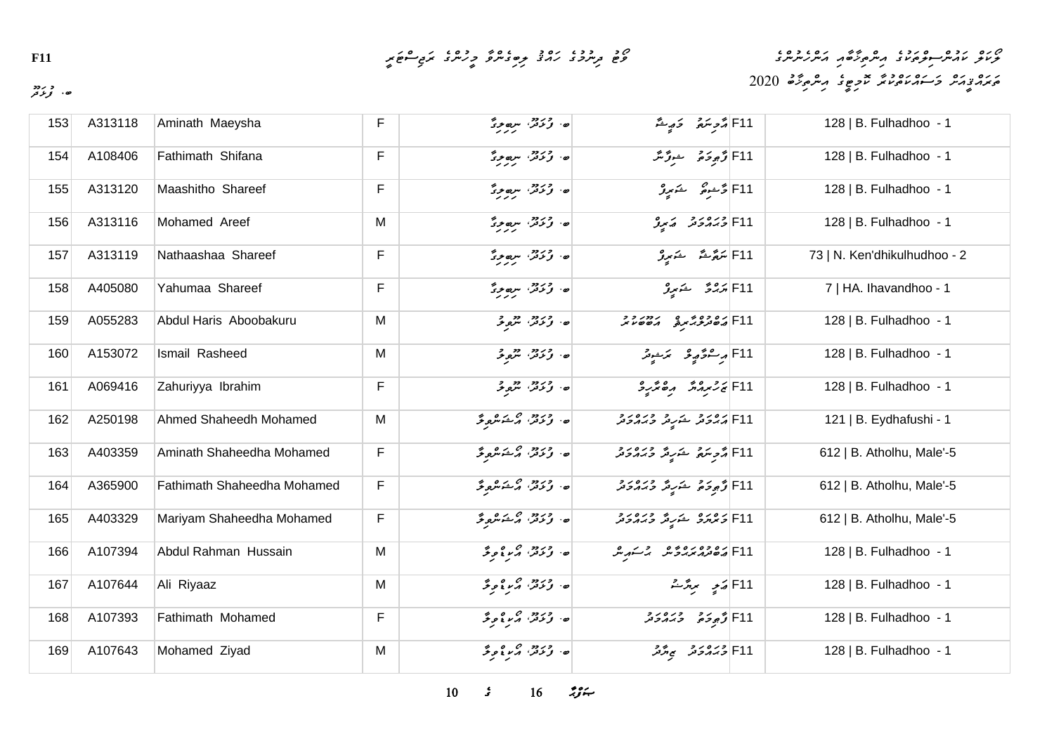*sCw7q7s5w7m< o<n9nOoAw7o< sCq;mAwBoEw7q<m; wBm;vB* م من المرة المرة المرة المرجع المرجع في المركبة 2020<br>مجم*د المريض المربوط المربع المرجع في المراجع المركبة* 

| 153 | A313118 | Aminath Maeysha             | $\mathsf F$ | ه ورده سره درگا                                | F11 مَّ حِسَمَ = دَرِسَّةَ =                     | 128   B. Fulhadhoo - 1       |
|-----|---------|-----------------------------|-------------|------------------------------------------------|--------------------------------------------------|------------------------------|
| 154 | A108406 | Fathimath Shifana           | F           | ם ציבה יינסיבב                                 | F11 <i>وَّجِ دَمَّة</i> شِوَتَسَّ                | 128   B. Fulhadhoo - 1       |
| 155 | A313120 | Maashitho Shareef           | $\mathsf F$ | ם ציבת תסיבב                                   | F11 وَّحْدِمْ صَمَيْرٌ                           | 128   B. Fulhadhoo - 1       |
| 156 | A313116 | Mohamed Areef               | M           | ے وروم سے وگ                                   | F11 وَرَدْدَوَتْر كَرَمَبِرْتْر                  | 128   B. Fulhadhoo - 1       |
| 157 | A313119 | Nathaashaa Shareef          | $\mathsf F$ | ם ציבה יינסיבב                                 | F11 سَهَّرْتُہ شَمَعِرْتُر                       | 73   N. Ken'dhikulhudhoo - 2 |
| 158 | A405080 | Yahumaa Shareef             | F           | ه و درد.<br>د و د در سره د د                   | F11 بزرگ - ش <i>تمبول</i>                        | 7   HA. Ihavandhoo - 1       |
| 159 | A055283 | Abdul Haris Aboobakuru      | M           | ه ژرند شود                                     | F11 رەدومەر مەھەمەر<br>F11 رەمۇرىمىر مەھەم       | 128   B. Fulhadhoo - 1       |
| 160 | A153072 | Ismail Rasheed              | M           | ه ورو دو د                                     | F11 م <i>ې</i> شۇم <sub>ۇ</sub> تۇرىئونى         | 128   B. Fulhadhoo - 1       |
| 161 | A069416 | Zahuriyya Ibrahim           | F           | ه ورو وړي                                      | F11 ىزىرچە ئەھەر يوم ب                           | 128   B. Fulhadhoo - 1       |
| 162 | A250198 | Ahmed Shaheedh Mohamed      | M           | ەر دىرەدە مەشكەھەتى<br>ئەس ئۇغىرى مەشكەھەتى    | F11   دَرُدَوَتْر خَيْرِيْرْ وَبَرْدُوَتْر       | 121   B. Eydhafushi - 1      |
| 163 | A403359 | Aminath Shaheedha Mohamed   | $\mathsf F$ | ە بۇردو ئەشكىرى ئى                             | F11 أَدُّجِسَمْ مُشَرِيْرٌ وَبَرْدُونَرْ         | 612   B. Atholhu, Male'-5    |
| 164 | A365900 | Fathimath Shaheedha Mohamed | $\mathsf F$ | ەر دىرەدە مەشكەت بىرى<br>ئەس ئىرىس مەشكەت بىرى | F11 زَّەپِ دَەَ شَرِيدَ دېرە دىر                 | 612   B. Atholhu, Male'-5    |
| 165 | A403329 | Mariyam Shaheedha Mohamed   | $\mathsf F$ |                                                | F11 كالمحامرة المستورقر المحامدة والمحافر        | 612   B. Atholhu, Male'-5    |
| 166 | A107394 | Abdul Rahman Hussain        | M           | ه وردو می ه و و گ                              | F11 <sub>م</sub> ەمەمەرەۋىر ب <sub>ە</sub> سەرىر | 128   B. Fulhadhoo - 1       |
| 167 | A107644 | Ali Riyaaz                  | M           | ە بۇلاش كەم يەم ئى                             | F11 کی مورگٹ                                     | 128   B. Fulhadhoo - 1       |
| 168 | A107393 | Fathimath Mohamed           | F           | ه وردو می و و تح                               | F11 ۇ <sub>ج</sub> وڭ ئەرەپىر                    | 128   B. Fulhadhoo - 1       |
| 169 | A107643 | Mohamed Ziyad               | M           | ە بۇردە كەربى ئوقە                             | F11 <i>5 پر پر بر ج پر گر</i> تر                 | 128   B. Fulhadhoo - 1       |

 $10$  *s*  $16$  *z***<sub>3</sub>** $\approx$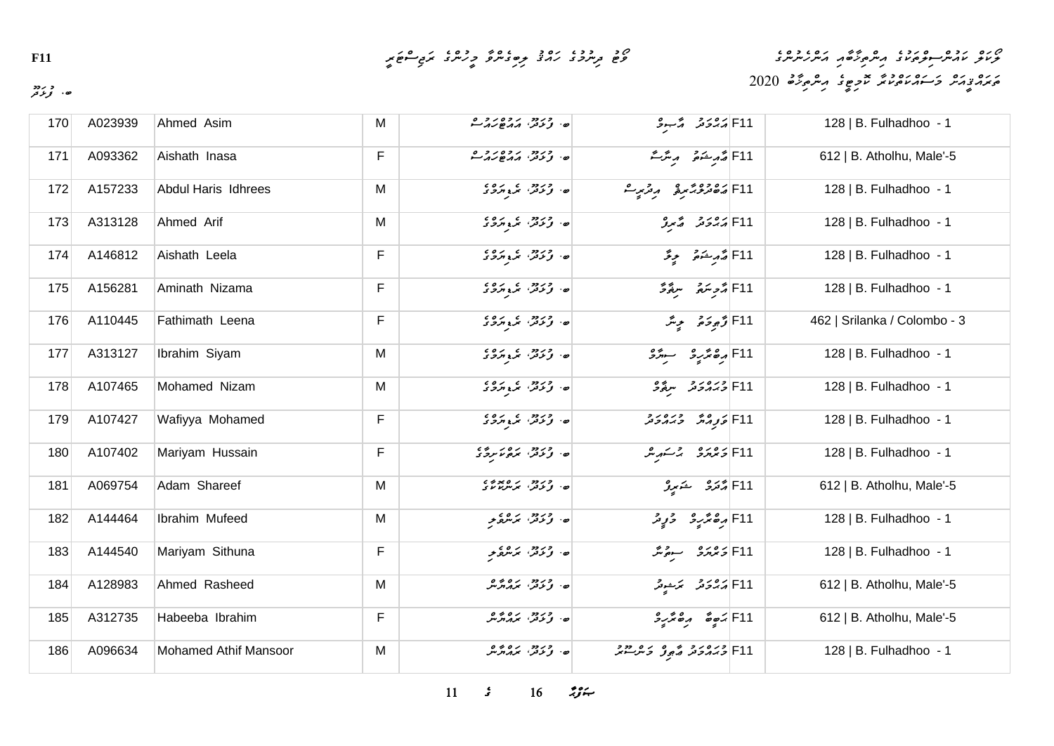*sCw7q7s5w7m< o<n9nOoAw7o< sCq;mAwBoEw7q<m; wBm;vB* م من المرة المرة المرة المرجع المرجع في المركبة 2020<br>مجم*د المريض المربوط المربع المرجع في المراجع المركبة* 

| 170 | A023939 | Ahmed Asim                   | M            | כנדה ברסנבס                                        | F11 كەبرى قەسىۋ                       | 128   B. Fulhadhoo - 1       |
|-----|---------|------------------------------|--------------|----------------------------------------------------|---------------------------------------|------------------------------|
| 171 | A093362 | Aishath Inasa                | F            | כנדה ברסנבס                                        | F11 ۾ پرڪو پر مٿر شهر                 | 612   B. Atholhu, Male'-5    |
| 172 | A157233 | Abdul Haris Idhrees          | M            | ه وردد ر<br>ه ولاتر، نروبروی                       | F11 مەھەر ئۇيجىمى ھەمەر مىگە بىر      | 128   B. Fulhadhoo - 1       |
| 173 | A313128 | Ahmed Arif                   | M            | ورود عدد ده ده.<br>ح- تونونس شده مرحری             | F11 كەنزى قى ھەمبەر                   | 128   B. Fulhadhoo - 1       |
| 174 | A146812 | Aishath Leela                | $\mathsf F$  | ەر دەپەتە بەرە ئە<br>ھەر ئولانىي بىر يەرو ئ        | F11 مَگْرِسْتَمْ مِعْ                 | 128   B. Fulhadhoo - 1       |
| 175 | A156281 | Aminath Nizama               | F            | ه وردد ر<br>ه ولاتر، نروبروی                       | F11 مُّ مِسَمَّى سِمَّى مَّ           | 128   B. Fulhadhoo - 1       |
| 176 | A110445 | Fathimath Leena              | F            | ه وردد ر<br>ه ولاتر، نروبروی                       | F11 وَج <i>ودَهْ</i> مِيسَّر          | 462   Srilanka / Colombo - 3 |
| 177 | A313127 | Ibrahim Siyam                | M            | ەر دەپەتە بەرە ئە<br>ھەر ئولانىي بىر يەرو ئ        | F11 مەھ <i>مگىي</i> ھەسىسىتى بىر      | 128   B. Fulhadhoo - 1       |
| 178 | A107465 | Mohamed Nizam                | M            | ەر دەپەتە بەرە ئەن<br>ھەر ئونى ئىس بىر <i>جە</i> ر | F11 <i>2222 سرچ</i> گ                 | 128   B. Fulhadhoo - 1       |
| 179 | A107427 | Wafiyya Mohamed              | $\mathsf{F}$ | ه ورده و ده ده.<br>ه ونوتر، شوه دروی               | F11 <sub>ح</sub> وړن <i>گ څن</i> ډونډ | 128   B. Fulhadhoo - 1       |
| 180 | A107402 | Mariyam Hussain              | $\mathsf F$  | ه وردو ره روبر<br>ه ولاتر برونا برو                | F11 <sub>ح</sub> مدرہ جے مدیر         | 128   B. Fulhadhoo - 1       |
| 181 | A069754 | Adam Shareef                 | M            | ور دو در ۲۵ ده.<br>۲۵۰ ژنون مرس ۲۷                 | F11 ۾ ترو شمبرو                       | 612   B. Atholhu, Male'-5    |
| 182 | A144464 | Ibrahim Mufeed               | M            | ه وردد تر ۵۵<br>ه ولاش تر شروب                     | F11 مەھەر بۇ ھەر قى                   | 128   B. Fulhadhoo - 1       |
| 183 | A144540 | Mariyam Sithuna              | F            | ه ورده نرمړي.                                      | F11 دىمەد بەھەتىر                     | 128   B. Fulhadhoo - 1       |
| 184 | A128983 | Ahmed Rasheed                | M            | כנכב נסשים<br>ישי נישיטי <i>יהה</i> תיית           | F11 كەردى كەر ئىرىدى                  | 612   B. Atholhu, Male'-5    |
| 185 | A312735 | Habeeba Ibrahim              | $\mathsf F$  | ه وردو ره ده.<br>ه وردر برد بر                     | F11 يَرْحِرَّةُ مِنْ مِنْ مِرْدِدْ    | 612   B. Atholhu, Male'-5    |
| 186 | A096634 | <b>Mohamed Athif Mansoor</b> | M            | פי כנכן גם מם.<br>כם " צ'יגרי "זהורגיית            | F11 ديرورو گهور دس دو                 | 128   B. Fulhadhoo - 1       |

 $11$  *s*  $16$  *z***<sub>3</sub>** $\approx$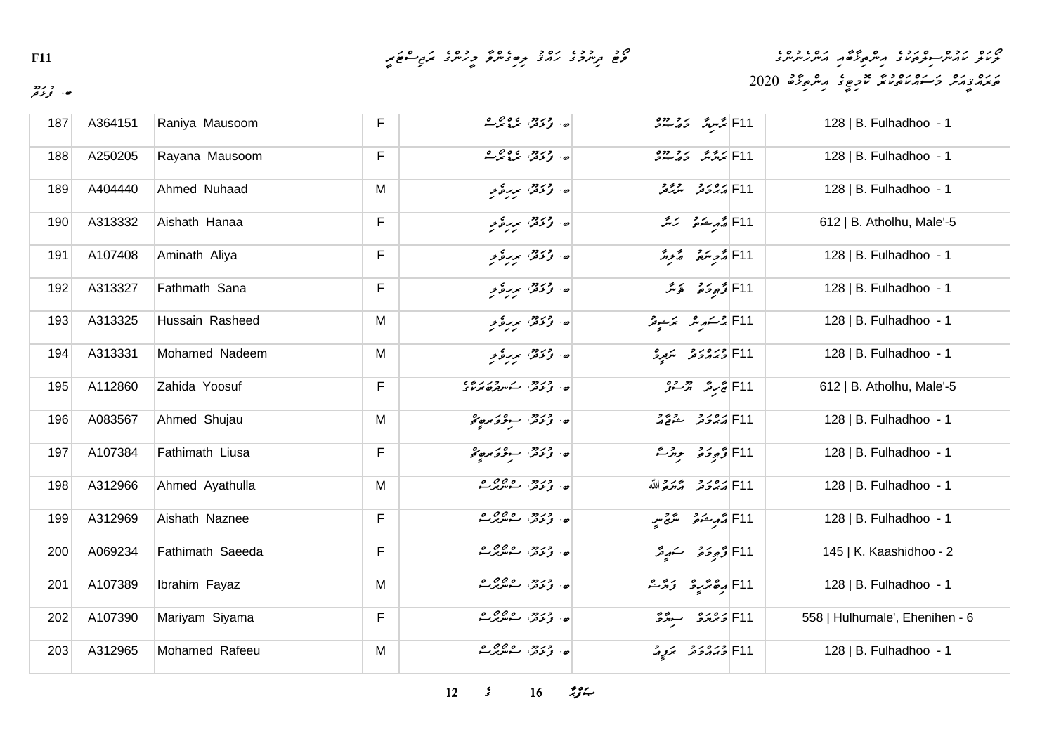*sCw7q7s5w7m< o<n9nOoAw7o< sCq;mAwBoEw7q<m; wBm;vB* م من المرة المرة المرة المرجع المرجع في المركبة 2020<br>مجم*د المريض المربوط المربع المرجع في المراجع المركبة* 

| 187 | A364151 | Raniya Mausoom   | F           | ە . تەرەد مەدەرە ھ<br>ھ . تۇنۇلغان مىزدە مەسىر | F11 بَرْسِرَدُ وَرَجَبَوْدِ                   | 128   B. Fulhadhoo - 1         |
|-----|---------|------------------|-------------|------------------------------------------------|-----------------------------------------------|--------------------------------|
| 188 | A250205 | Rayana Mausoom   | F           | ه وردو ۵۵۵ می<br>۵۰ ورد بروبر                  | F11 بَرْہُرْ سَرَ وَرُبْہِ وَ                 | 128   B. Fulhadhoo - 1         |
| 189 | A404440 | Ahmed Nuhaad     | M           | ص- ورود مورځ مو                                | F11 كەبرى قىر بىر يەر ئىس                     | 128   B. Fulhadhoo - 1         |
| 190 | A313332 | Aishath Hanaa    | F           | ه ورود برره و                                  | F11 م <i>ەُم</i> ەشقى ئەنگە                   | 612   B. Atholhu, Male'-5      |
| 191 | A107408 | Aminath Aliya    | $\mathsf F$ | ه ورده برروم                                   | F11 مَّ مِسَعَ مَّ مِعَّ                      | 128   B. Fulhadhoo - 1         |
| 192 | A313327 | Fathmath Sana    | F           | ه ورده بررؤم                                   | F11 تَ <i>وْجِرْحَمْ پَيْرَ</i> دُ            | 128   B. Fulhadhoo - 1         |
| 193 | A313325 | Hussain Rasheed  | M           | ه ورود برره و                                  | F11 پر کے میر شریعہ ترکیب تر                  | 128   B. Fulhadhoo - 1         |
| 194 | A313331 | Mohamed Nadeem   | M           | ه ورده برره و                                  | F11 <i>5225 تربو</i> د                        | 128   B. Fulhadhoo - 1         |
| 195 | A112860 | Zahida Yoosuf    | F           |                                                | F11 تج برمثر میں شوتر                         | 612   B. Atholhu, Male'-5      |
| 196 | A083567 | Ahmed Shujau     | M           | ە ئىگىر سوگە <i>جەڭ</i>                        | F11 كەبرى كىمى ئىقتى كەنتى بىر                | 128   B. Fulhadhoo - 1         |
| 197 | A107384 | Fathimath Liusa  | F           | ٠٥ ورود سوكروه كا                              | F11 وَجوحَة و مِرْتَهُ                        | 128   B. Fulhadhoo - 1         |
| 198 | A312966 | Ahmed Ayathulla  | M           | ە بەدەدە مەم ھەر ھە                            | F11 كەبرى قىر ئەر ئۇيغۇر (للە                 | 128   B. Fulhadhoo - 1         |
| 199 | A312969 | Aishath Naznee   | $\mathsf F$ | ە بۇردە ھەرمى<br>ھ ۋىرى سەنئەتكە               | F11 ۾ م شمتھ سگھ س                            | 128   B. Fulhadhoo - 1         |
| 200 | A069234 | Fathimath Saeeda | F           | ەر دور دەم ھ                                   | F11 وَّجِودَةٌ سَمَهِةٌ                       | 145   K. Kaashidhoo - 2        |
| 201 | A107389 | Ibrahim Fayaz    | M           | ە بەدە ھەرمى<br>ھ زىرى سەسرىر سە               | F11 <sub>م</sub> ەمگرى <sub>د</sub> ى ئەگرىشە | 128   B. Fulhadhoo - 1         |
| 202 | A107390 | Mariyam Siyama   | F           | ه درود مصرم و                                  | F11 دېمه پروته سوچې                           | 558   Hulhumale', Ehenihen - 6 |
| 203 | A312965 | Mohamed Rafeeu   | M           | ە بۇردە ھەيمى ھ                                | F11 <i>5222 بَرُوِج</i> ً                     | 128   B. Fulhadhoo - 1         |

 $12$  *s*  $16$  *z***<sub>3</sub>**  $\frac{2}{3}$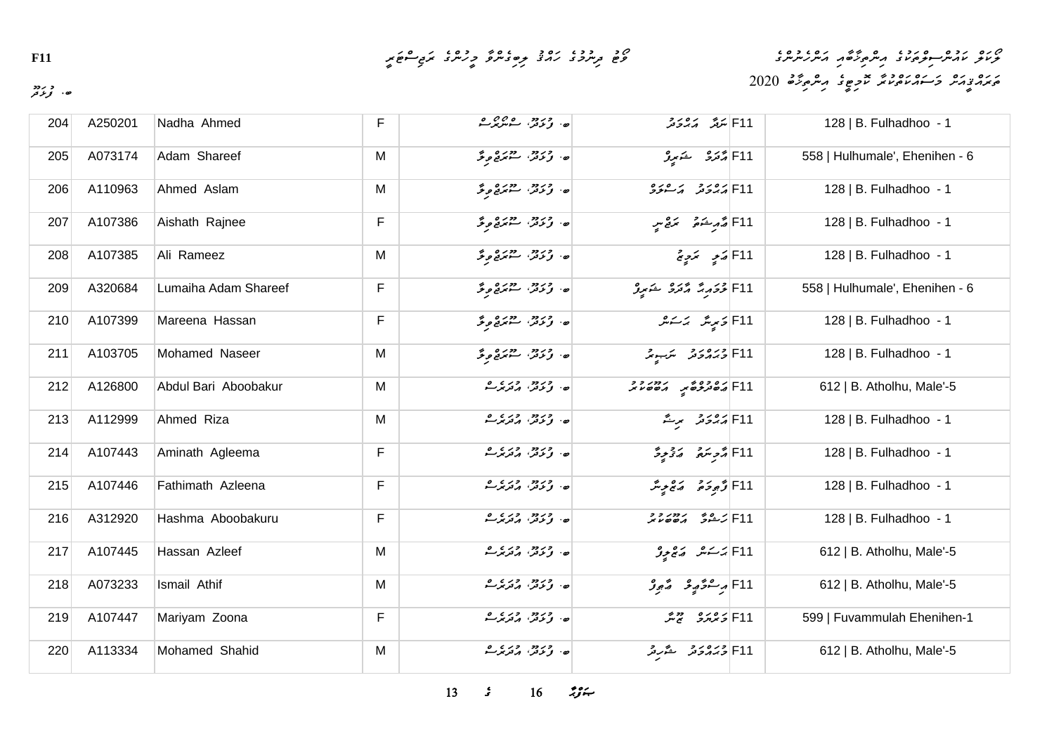*sCw7q7s5w7m< o<n9nOoAw7o< sCq;mAwBoEw7q<m; wBm;vB* م من المرة المرة المرة المرجع المرجع في المركبة 2020<br>مجم*د المريض المربوط المربع المرجع في المراجع المركبة* 

| 204 | A250201 | Nadha Ahmed          | F           | ە ئەرەد مەيرىمى ھ                         | F11 يَرَقَّرُ - بَرْبُرْوَتْرُ                        | 128   B. Fulhadhoo - 1         |
|-----|---------|----------------------|-------------|-------------------------------------------|-------------------------------------------------------|--------------------------------|
| 205 | A073174 | Adam Shareef         | M           | ە ئىرى دىرە دىكەن                         | F11   پژترد - ش <i>تمبوژ</i>                          | 558   Hulhumale', Ehenihen - 6 |
| 206 | A110963 | Ahmed Aslam          | M           | ە ئىرەد دەرە دۇر                          | F11 كەبروتە كەشىۋى                                    | 128   B. Fulhadhoo - 1         |
| 207 | A107386 | Aishath Rajnee       | $\mathsf F$ | ە ئەرەد دەرە دۇر                          | F11 ۾ پرڪنو سمبر تين مير                              | 128   B. Fulhadhoo - 1         |
| 208 | A107385 | Ali Rameez           | M           | ە ئەرەد دەرە دۇر                          | F11 <i>ھَ۔</i> پر پروچ                                | 128   B. Fulhadhoo - 1         |
| 209 | A320684 | Lumaiha Adam Shareef | $\mathsf F$ | ە ئىرەد دەرە دۇر                          | F11 تَحْدَمِهُ مُحَمَّدٌ حَسَبِيْرٌ                   | 558   Hulhumale', Ehenihen - 6 |
| 210 | A107399 | Mareena Hassan       | F           | ە ئىرەد دەرە دۇر                          | F11   5 مریٹر   کرسکٹر                                | 128   B. Fulhadhoo - 1         |
| 211 | A103705 | Mohamed Naseer       | M           | ە بۇردە دەرەرتى<br>مەنزىرى سىرقى مەنتى    | F11 <i>وَبَرُهُ وَبُوْ</i> سَرَسِيمُ                  | 128   B. Fulhadhoo - 1         |
| 212 | A126800 | Abdul Bari Aboobakur | M           | ە بەرەد دىرى<br>ھ ئى ئى ئىرىش             | F11 גەכەپر ھەمەسىر                                    | 612   B. Atholhu, Male'-5      |
| 213 | A112999 | Ahmed Riza           | M           | ە . درەد در ، ە<br>ھ . زىرتىر ، مەترىر ــ | F11 كەندى كەرىگە                                      | 128   B. Fulhadhoo - 1         |
| 214 | A107443 | Aminath Agleema      | F           | ە بەرەد دىرى<br>ھ ۋىلى مەمەرىك            | F11 مَّ حِسَمَة مَقْوِرَّ                             | 128   B. Fulhadhoo - 1         |
| 215 | A107446 | Fathimath Azleena    | F           | ە . درەد در ، م<br>ھ . زىرتىر ، مەترىر ك  | F11 ۇ <sub>ج</sub> وڭ ھەج ئەيش                        | 128   B. Fulhadhoo - 1         |
| 216 | A312920 | Hashma Aboobakuru    | $\mathsf F$ | ە بەدە دىرى<br>ھ ۋىلى مەترىكە             | $22222$ $525$ F11                                     | 128   B. Fulhadhoo - 1         |
| 217 | A107445 | Hassan Azleef        | M           | ە . درەد در ، م<br>ھ . زىرتىر ، مەترىر ك  | F11   پرستريس کم پرچونو<br>  F11                      | 612   B. Atholhu, Male'-5      |
| 218 | A073233 | Ismail Athif         | M           | ە . درە . در ، ە<br>ھ . زىرىر . مەنزىر    | F11 <sub>م</sub> رشۇ <sub>م</sub> و گە <sub>ۋ</sub> ۇ | 612   B. Atholhu, Male'-5      |
| 219 | A107447 | Mariyam Zoona        | F           | ە بەدە دىرى<br>ھ ۋىلى مەترىرى             | F11 كەبىر بويە تەرەپ                                  | 599   Fuvammulah Ehenihen-1    |
| 220 | A113334 | Mohamed Shahid       | M           |                                           | F11 <i>وُبَرُوْدُوَ</i> مُدَّرِيْرِ                   | 612   B. Atholhu, Male'-5      |

 $13$  *s*  $16$  *z***<sub>3</sub>**  $\frac{2}{3}$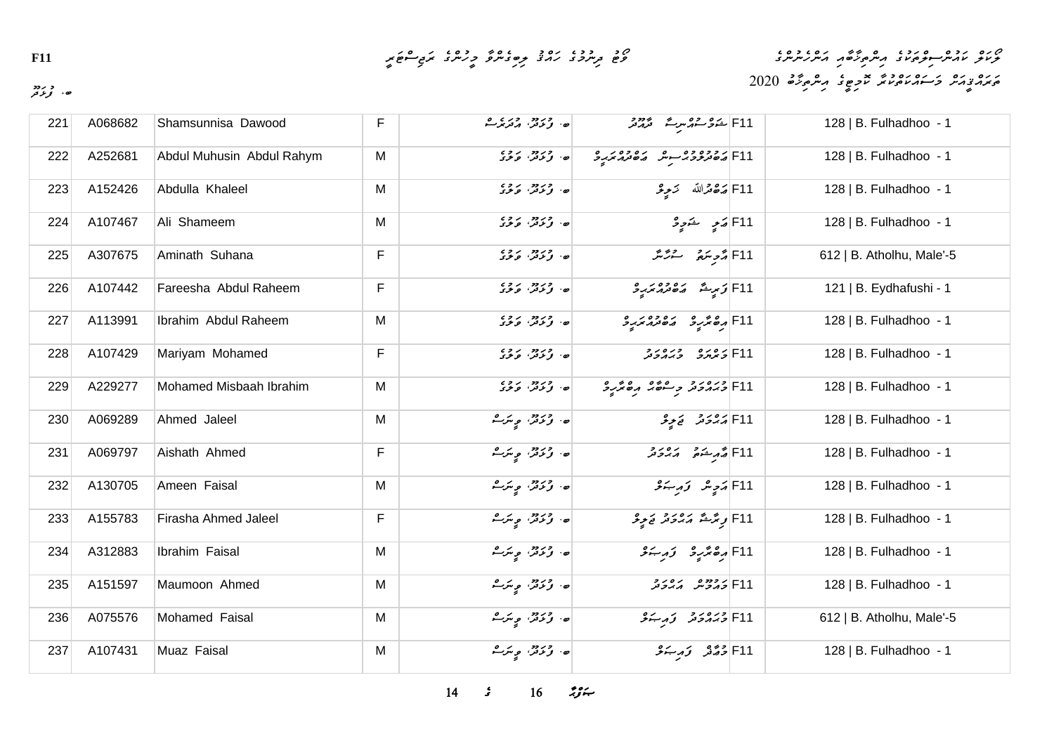*sCw7q7s5w7m< o<n9nOoAw7o< sCq;mAwBoEw7q<m; wBm;vB* م من المرة المرة المرة المرجع المرجع في المركبة 2020<br>مجم*د المريض المربوط المربع المرجع في المراجع المركبة* 

| 221 | A068682 | Shamsunnisa Dawood        | $\mathsf{F}$ | ه ورود وري ه<br><i>ه و</i> رور پرتربر ب | F11 شەۋىشەرسىگە ئ <i>ورە</i> ر          | 128   B. Fulhadhoo - 1    |
|-----|---------|---------------------------|--------------|-----------------------------------------|-----------------------------------------|---------------------------|
| 222 | A252681 | Abdul Muhusin Abdul Rahym | M            | وردو روه<br>  ن تونوتر، ن بور           | F11 בסיניכפיל היילה הסינה ביקרי         | 128   B. Fulhadhoo - 1    |
| 223 | A152426 | Abdulla Khaleel           | M            | ه وردو روه<br><i>ه وی</i> نش ویژ        | F11 كەھەراللە   ئەموقر                  | 128   B. Fulhadhoo - 1    |
| 224 | A107467 | Ali Shameem               | M            | ە بەدە دە،<br>ھەتوىتى ھىمى              | F11  کی جو شکوی سنگوری ک                | 128   B. Fulhadhoo - 1    |
| 225 | A307675 | Aminath Suhana            | $\mathsf F$  | ه وردو روه<br><i>ه وردن و و</i> ر       | F11 <sub>م</sub> ُّرمِتمبر مُسْتَمَثَّر | 612   B. Atholhu, Male'-5 |
| 226 | A107442 | Fareesha Abdul Raheem     | $\mathsf F$  | ه . وردو . د ه<br>ه . و د تر . ه مرد    | F11 كۆمچىنىڭ بەھ <i>قەھەتمەي</i> ۋ      | 121   B. Eydhafushi - 1   |
| 227 | A113991 | Ibrahim Abdul Raheem      | M            | ه وردو روه<br><i>ه و</i> ردر و در       | F11 مەھمگىر ئەھەرمىدىنى ئى              | 128   B. Fulhadhoo - 1    |
| 228 | A107429 | Mariyam Mohamed           | $\mathsf F$  | و در دو.<br>ن تونونس تونوی              | F11 كابرور ورودور                       | 128   B. Fulhadhoo - 1    |
| 229 | A229277 | Mohamed Misbaah Ibrahim   | M            | ە دىن دە،<br>ھ ۋىتى ھىرى                | F11 ورورو ورقص وکارو                    | 128   B. Fulhadhoo - 1    |
| 230 | A069289 | Ahmed Jaleel              | M            | ه وردو پرگ                              | F11 كەردى قى يىچى                       | 128   B. Fulhadhoo - 1    |
| 231 | A069797 | Aishath Ahmed             | F            | ه ورد و پره                             | F11 مەم ئەر ئەردىر<br>F11               | 128   B. Fulhadhoo - 1    |
| 232 | A130705 | Ameen Faisal              | M            | ه ورد په پره                            | F11 كەرچىر كەرىتكى                      | 128   B. Fulhadhoo - 1    |
| 233 | A155783 | Firasha Ahmed Jaleel      | $\mathsf F$  | ه ورده و سرگ                            | F11 وِبَرْٹَ بَرُرُدَتْر ہَ وِبْرْ      | 128   B. Fulhadhoo - 1    |
| 234 | A312883 | Ibrahim Faisal            | M            | ه ورده و سرگ                            | F11 مەھەرىپى قەمبىكى ئىل                | 128   B. Fulhadhoo - 1    |
| 235 | A151597 | Maumoon Ahmed             | M            | ه ورد په پره                            | F11 كەرجىس كەردىر                       | 128   B. Fulhadhoo - 1    |
| 236 | A075576 | Mohamed Faisal            | M            | ه ورد په پره                            | F11 دېرورو ته ب                         | 612   B. Atholhu, Male'-5 |
| 237 | A107431 | Muaz Faisal               | M            | ه ورد په پره                            | F11 ق. ق. ق. م. سكر محمد الس            | 128   B. Fulhadhoo - 1    |

 $14$  *s*  $16$  *z***<sub>3</sub>**  $\frac{2}{3}$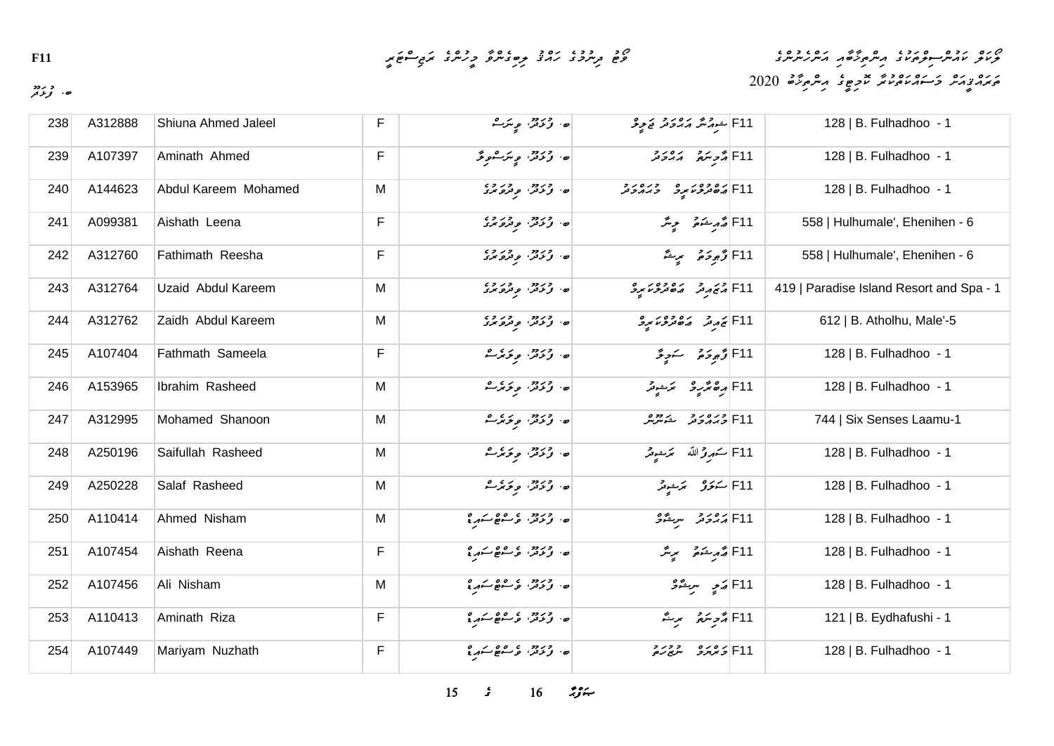*sCw7q7s5w7m< o<n9nOoAw7o< sCq;mAwBoEw7q<m; wBm;vB* م من المرة المرة المرة المرجع المرجع في المركبة 2020<br>مجم*د المريض المربوط المربع المرجع في المراجع المركبة* 

| 238 | A312888 | Shiuna Ahmed Jaleel  | F           | ه ورده و مرگ                               | F11 حورثر ر <i>زودتر</i> ق <i>و</i> ی | 128   B. Fulhadhoo - 1                   |
|-----|---------|----------------------|-------------|--------------------------------------------|---------------------------------------|------------------------------------------|
| 239 | A107397 | Aminath Ahmed        | F           | ە بۇردە بېرىكونۇ                           | F11 أَمُّ حِسَمَةٌ مَدَّدَ قَدْ       | 128   B. Fulhadhoo - 1                   |
| 240 | A144623 | Abdul Kareem Mohamed | M           | ه وردد در د .<br>ه ونرس وترویزی            | F11 كەھەر ئەرەر بەر دېرەر د           | 128   B. Fulhadhoo - 1                   |
| 241 | A099381 | Aishath Leena        | $\mathsf F$ | ه· ورود ورو،<br>ه· وردند، وترویزی          | F11 مُدمِشَۃ مِیْر                    | 558   Hulhumale', Ehenihen - 6           |
| 242 | A312760 | Fathimath Reesha     | F           | ور دو.<br>ن و دور و ترو برو                | F11 تَرْجِرَة مَمْ سِنَّة ِ           | 558   Hulhumale', Ehenihen - 6           |
| 243 | A312764 | Uzaid Abdul Kareem   | M           | ه وردد وي در د .<br>ه ون تون م ترومرد      | F11 مجموعه مصر ده دور مرد             | 419   Paradise Island Resort and Spa - 1 |
| 244 | A312762 | Zaidh Abdul Kareem   | M           | ه ورود ورود و                              | F11 يَهرِمْ - رَەڤەرْدىرَ برِدْ       | 612   B. Atholhu, Male'-5                |
| 245 | A107404 | Fathmath Sameela     | F           | ه· وردد و و در ه                           | F11 وَت <i>ِودَةْ</i> سَوِءً          | 128   B. Fulhadhoo - 1                   |
| 246 | A153965 | Ibrahim Rasheed      | M           | ه· وردو و ترتر ه                           | F11 مەھەمگەر ئەسىم ئىشىمىتىر          | 128   B. Fulhadhoo - 1                   |
| 247 | A312995 | Mohamed Shanoon      | M           | ه· وردو وترکر ه                            | F11 <i>ورەرو</i> شەمپەر               | 744   Six Senses Laamu-1                 |
| 248 | A250196 | Saifullah Rasheed    | M           | ه· وردد و و در ه                           | F11 سَمَدِوْاللَّهُ - مَدَسِّدِمْرُ   | 128   B. Fulhadhoo - 1                   |
| 249 | A250228 | Salaf Rasheed        | M           | ه· وردد و و کرم                            | F11 ستۇتى - ترىنې <sub>ي</sub> ىتى    | 128   B. Fulhadhoo - 1                   |
| 250 | A110414 | Ahmed Nisham         | M           | ە بەدە ئەھەر ئەھ                           | F11 كەبرى كىر سرىنىگەنى               | 128   B. Fulhadhoo - 1                   |
| 251 | A107454 | Aishath Reena        | F           | ە بەردە ئەمەم ئەرە                         | F11 مۇمەشقۇ مېتىر                     | 128   B. Fulhadhoo - 1                   |
| 252 | A107456 | Ali Nisham           | M           | ە بەردە ئەمەم ئەرە                         | F11 كەي س <sub>ى</sub> شگ             | 128   B. Fulhadhoo - 1                   |
| 253 | A110413 | Aminath Riza         | F           | ەر دىرەدە بەھ ھەر دە<br>ھەر ئەندىن ھەسقىھە | F11 مُّ مِتْهُمْ مَ مِتَّ             | 121   B. Eydhafushi - 1                  |
| 254 | A107449 | Mariyam Nuzhath      | F           | ەر دىرەدە بەرەھ سەمدە ئ                    | F11 كەبەر ھەم يەر يەر قىياتقان ئا     | 128   B. Fulhadhoo - 1                   |

 $15$  *s*  $16$  *z***<sub>3</sub>**  $\frac{2}{3}$